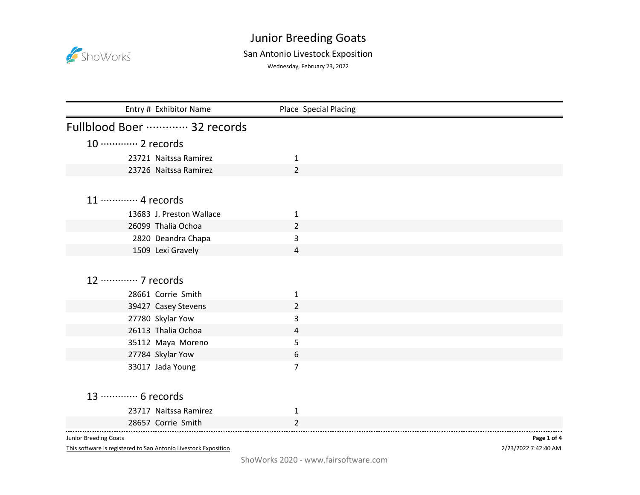

## Junior Breeding Goats

## San Antonio Livestock Exposition

Wednesday, February 23, 2022

| Entry # Exhibitor Name     | Place Special Placing |  |
|----------------------------|-----------------------|--|
| Fullblood Boer  32 records |                       |  |
| 10 ············· 2 records |                       |  |
| 23721 Naitssa Ramirez      | 1                     |  |
| 23726 Naitssa Ramirez      | $\overline{2}$        |  |
|                            |                       |  |
| 11 ………… 4 records          |                       |  |
| 13683 J. Preston Wallace   | 1                     |  |
| 26099 Thalia Ochoa         | $\overline{2}$        |  |
| 2820 Deandra Chapa         | 3                     |  |
| 1509 Lexi Gravely          | $\overline{a}$        |  |
|                            |                       |  |
| 12 ………… 7 records          |                       |  |
| 28661 Corrie Smith         | 1                     |  |
| 39427 Casey Stevens        | $\overline{2}$        |  |
| 27780 Skylar Yow           | 3                     |  |
| 26113 Thalia Ochoa         | 4                     |  |
| 35112 Maya Moreno          | 5                     |  |
| 27784 Skylar Yow           | 6                     |  |
| 33017 Jada Young           | 7                     |  |
|                            |                       |  |
| 13 ………… 6 records          |                       |  |
| 23717 Naitssa Ramirez      | 1                     |  |
| 28657 Corrie Smith         | $\overline{2}$        |  |

Junior Breeding Goats

This software is registered to San Antonio Livestock Exposition

2/23/2022 7:42:40 AM **Page 1 of 4**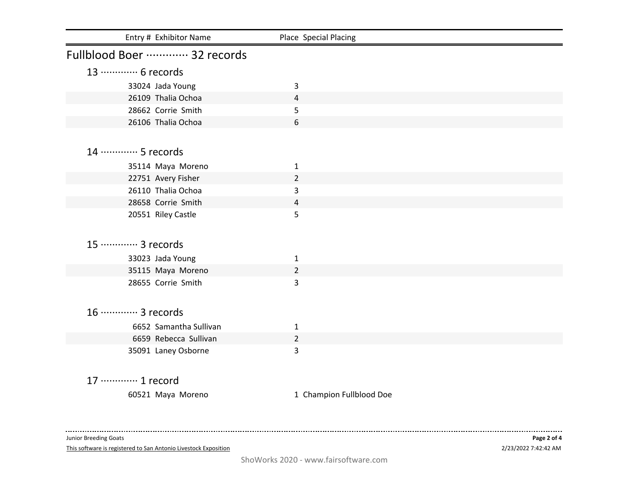| Place Special Placing |                                                                                                                        |
|-----------------------|------------------------------------------------------------------------------------------------------------------------|
|                       |                                                                                                                        |
|                       |                                                                                                                        |
|                       |                                                                                                                        |
| 4                     |                                                                                                                        |
| 5                     |                                                                                                                        |
| 6                     |                                                                                                                        |
|                       |                                                                                                                        |
|                       |                                                                                                                        |
|                       |                                                                                                                        |
|                       |                                                                                                                        |
| 3                     |                                                                                                                        |
| 4                     |                                                                                                                        |
| 5                     |                                                                                                                        |
|                       |                                                                                                                        |
|                       |                                                                                                                        |
|                       |                                                                                                                        |
| $\overline{2}$        |                                                                                                                        |
| 3                     |                                                                                                                        |
|                       |                                                                                                                        |
|                       |                                                                                                                        |
|                       |                                                                                                                        |
|                       |                                                                                                                        |
|                       |                                                                                                                        |
|                       |                                                                                                                        |
|                       |                                                                                                                        |
|                       |                                                                                                                        |
|                       |                                                                                                                        |
|                       | 3<br>$\mathbf{1}$<br>$\overline{2}$<br>$\mathbf{1}$<br>$\mathbf{1}$<br>$\overline{2}$<br>3<br>1 Champion Fullblood Doe |

Junior Breeding Goats

This software is registered to San Antonio Livestock Exposition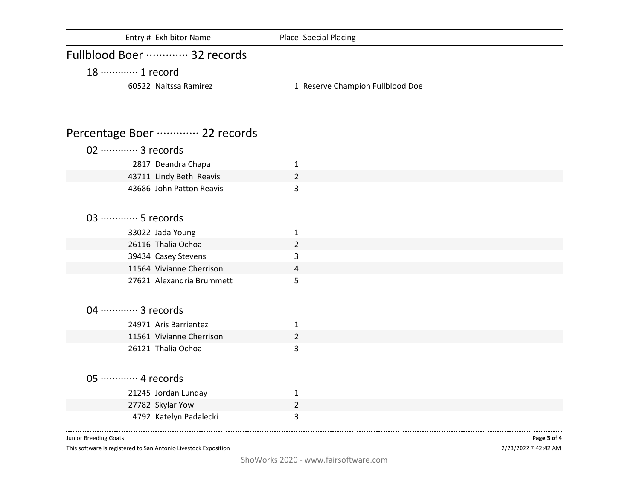| Entry # Exhibitor Name      | Place Special Placing            |
|-----------------------------|----------------------------------|
| Fullblood Boer  32 records  |                                  |
| 18 ………… 1 record            |                                  |
| 60522 Naitssa Ramirez       | 1 Reserve Champion Fullblood Doe |
| Percentage Boer  22 records |                                  |
| 02 ············· 3 records  |                                  |
| 2817 Deandra Chapa          | $\mathbf{1}$                     |
| 43711 Lindy Beth Reavis     | $\overline{2}$                   |
| 43686 John Patton Reavis    | 3                                |
|                             |                                  |
| 03 ………… 5 records           |                                  |
| 33022 Jada Young            | $\mathbf{1}$                     |
| 26116 Thalia Ochoa          | $\overline{2}$                   |
| 39434 Casey Stevens         | 3                                |
| 11564 Vivianne Cherrison    | 4                                |
| 27621 Alexandria Brummett   | 5                                |
|                             |                                  |
| 04 ············· 3 records  |                                  |
| 24971 Aris Barrientez       | $\mathbf{1}$                     |
| 11561 Vivianne Cherrison    | 2                                |
| 26121 Thalia Ochoa          | 3                                |
|                             |                                  |
| 05 ············· 4 records  |                                  |
| 21245 Jordan Lunday         | $\mathbf{1}$                     |
| 27782 Skylar Yow            | $\overline{2}$                   |
| 4792 Katelyn Padalecki      | 3                                |
|                             |                                  |

Junior Breeding Goats

This software is registered to San Antonio Livestock Exposition

2/23/2022 7:42:42 AM **Page 3 of 4**